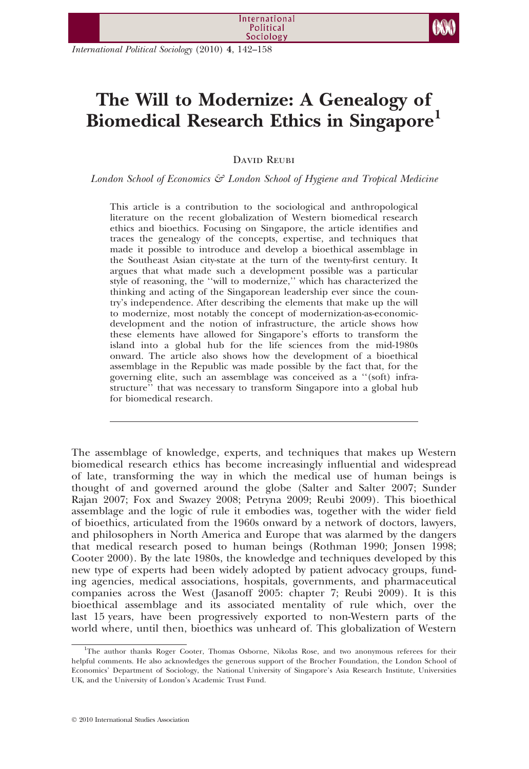International Political Sociology (2010) 4, 142–158

# The Will to Modernize: A Genealogy of Biomedical Research Ethics in Singapore<sup>1</sup>

# DAVID REUBI

London School of Economics  $\mathcal{S}$  London School of Hygiene and Tropical Medicine

This article is a contribution to the sociological and anthropological literature on the recent globalization of Western biomedical research ethics and bioethics. Focusing on Singapore, the article identifies and traces the genealogy of the concepts, expertise, and techniques that made it possible to introduce and develop a bioethical assemblage in the Southeast Asian city-state at the turn of the twenty-first century. It argues that what made such a development possible was a particular style of reasoning, the ''will to modernize,'' which has characterized the thinking and acting of the Singaporean leadership ever since the country's independence. After describing the elements that make up the will to modernize, most notably the concept of modernization-as-economicdevelopment and the notion of infrastructure, the article shows how these elements have allowed for Singapore's efforts to transform the island into a global hub for the life sciences from the mid-1980s onward. The article also shows how the development of a bioethical assemblage in the Republic was made possible by the fact that, for the governing elite, such an assemblage was conceived as a ''(soft) infrastructure'' that was necessary to transform Singapore into a global hub for biomedical research.

The assemblage of knowledge, experts, and techniques that makes up Western biomedical research ethics has become increasingly influential and widespread of late, transforming the way in which the medical use of human beings is thought of and governed around the globe (Salter and Salter 2007; Sunder Rajan 2007; Fox and Swazey 2008; Petryna 2009; Reubi 2009). This bioethical assemblage and the logic of rule it embodies was, together with the wider field of bioethics, articulated from the 1960s onward by a network of doctors, lawyers, and philosophers in North America and Europe that was alarmed by the dangers that medical research posed to human beings (Rothman 1990; Jonsen 1998; Cooter 2000). By the late 1980s, the knowledge and techniques developed by this new type of experts had been widely adopted by patient advocacy groups, funding agencies, medical associations, hospitals, governments, and pharmaceutical companies across the West (Jasanoff 2005: chapter 7; Reubi 2009). It is this bioethical assemblage and its associated mentality of rule which, over the last 15 years, have been progressively exported to non-Western parts of the world where, until then, bioethics was unheard of. This globalization of Western

<sup>&</sup>lt;sup>1</sup>The author thanks Roger Cooter, Thomas Osborne, Nikolas Rose, and two anonymous referees for their helpful comments. He also acknowledges the generous support of the Brocher Foundation, the London School of Economics' Department of Sociology, the National University of Singapore's Asia Research Institute, Universities UK, and the University of London's Academic Trust Fund.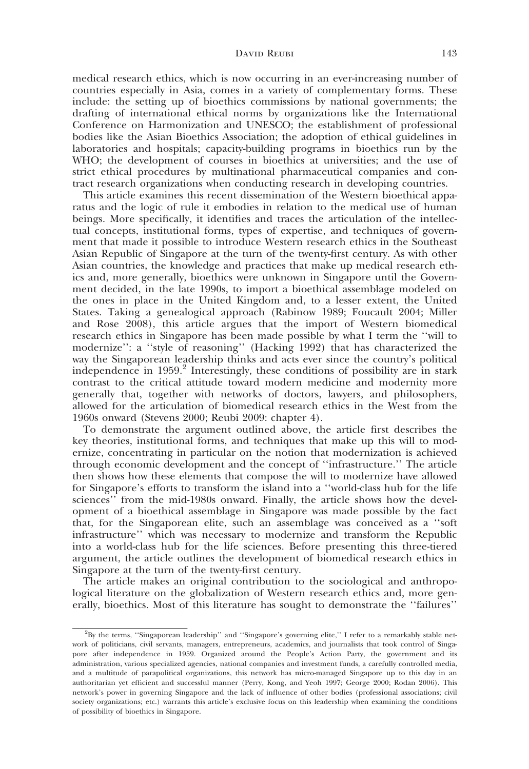## DAVID REUBI 143

medical research ethics, which is now occurring in an ever-increasing number of countries especially in Asia, comes in a variety of complementary forms. These include: the setting up of bioethics commissions by national governments; the drafting of international ethical norms by organizations like the International Conference on Harmonization and UNESCO; the establishment of professional bodies like the Asian Bioethics Association; the adoption of ethical guidelines in laboratories and hospitals; capacity-building programs in bioethics run by the WHO; the development of courses in bioethics at universities; and the use of strict ethical procedures by multinational pharmaceutical companies and contract research organizations when conducting research in developing countries.

This article examines this recent dissemination of the Western bioethical apparatus and the logic of rule it embodies in relation to the medical use of human beings. More specifically, it identifies and traces the articulation of the intellectual concepts, institutional forms, types of expertise, and techniques of government that made it possible to introduce Western research ethics in the Southeast Asian Republic of Singapore at the turn of the twenty-first century. As with other Asian countries, the knowledge and practices that make up medical research ethics and, more generally, bioethics were unknown in Singapore until the Government decided, in the late 1990s, to import a bioethical assemblage modeled on the ones in place in the United Kingdom and, to a lesser extent, the United States. Taking a genealogical approach (Rabinow 1989; Foucault 2004; Miller and Rose 2008), this article argues that the import of Western biomedical research ethics in Singapore has been made possible by what I term the ''will to modernize'': a ''style of reasoning'' (Hacking 1992) that has characterized the way the Singaporean leadership thinks and acts ever since the country's political independence in 1959.<sup>2</sup> Interestingly, these conditions of possibility are in stark contrast to the critical attitude toward modern medicine and modernity more generally that, together with networks of doctors, lawyers, and philosophers, allowed for the articulation of biomedical research ethics in the West from the 1960s onward (Stevens 2000; Reubi 2009: chapter 4).

To demonstrate the argument outlined above, the article first describes the key theories, institutional forms, and techniques that make up this will to modernize, concentrating in particular on the notion that modernization is achieved through economic development and the concept of ''infrastructure.'' The article then shows how these elements that compose the will to modernize have allowed for Singapore's efforts to transform the island into a ''world-class hub for the life sciences'' from the mid-1980s onward. Finally, the article shows how the development of a bioethical assemblage in Singapore was made possible by the fact that, for the Singaporean elite, such an assemblage was conceived as a ''soft infrastructure'' which was necessary to modernize and transform the Republic into a world-class hub for the life sciences. Before presenting this three-tiered argument, the article outlines the development of biomedical research ethics in Singapore at the turn of the twenty-first century.

The article makes an original contribution to the sociological and anthropological literature on the globalization of Western research ethics and, more generally, bioethics. Most of this literature has sought to demonstrate the ''failures''

<sup>2</sup> By the terms, ''Singaporean leadership'' and ''Singapore's governing elite,'' I refer to a remarkably stable network of politicians, civil servants, managers, entrepreneurs, academics, and journalists that took control of Singapore after independence in 1959. Organized around the People's Action Party, the government and its administration, various specialized agencies, national companies and investment funds, a carefully controlled media, and a multitude of parapolitical organizations, this network has micro-managed Singapore up to this day in an authoritarian yet efficient and successful manner (Perry, Kong, and Yeoh 1997; George 2000; Rodan 2006). This network's power in governing Singapore and the lack of influence of other bodies (professional associations; civil society organizations; etc.) warrants this article's exclusive focus on this leadership when examining the conditions of possibility of bioethics in Singapore.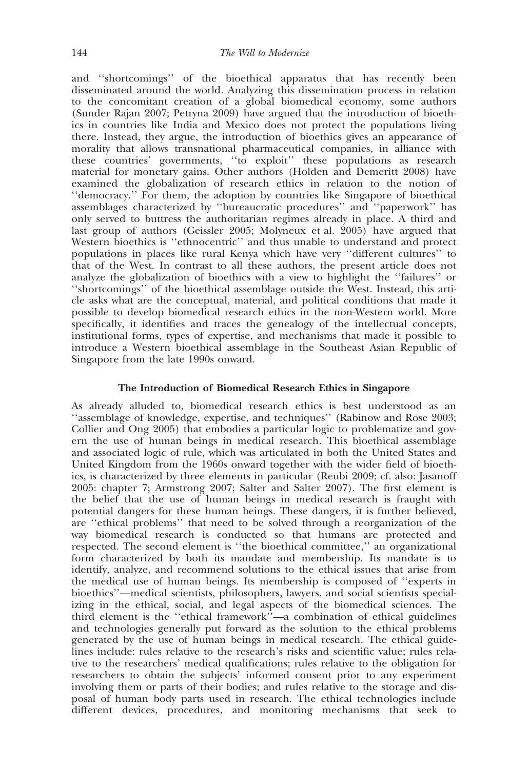and ''shortcomings'' of the bioethical apparatus that has recently been disseminated around the world. Analyzing this dissemination process in relation to the concomitant creation of a global biomedical economy, some authors (Sunder Rajan 2007; Petryna 2009) have argued that the introduction of bioethics in countries like India and Mexico does not protect the populations living there. Instead, they argue, the introduction of bioethics gives an appearance of morality that allows transnational pharmaceutical companies, in alliance with these countries' governments, ''to exploit'' these populations as research material for monetary gains. Other authors (Holden and Demeritt 2008) have examined the globalization of research ethics in relation to the notion of ''democracy.'' For them, the adoption by countries like Singapore of bioethical assemblages characterized by ''bureaucratic procedures'' and ''paperwork'' has only served to buttress the authoritarian regimes already in place. A third and last group of authors (Geissler 2005; Molyneux et al. 2005) have argued that Western bioethics is ''ethnocentric'' and thus unable to understand and protect populations in places like rural Kenya which have very ''different cultures'' to that of the West. In contrast to all these authors, the present article does not analyze the globalization of bioethics with a view to highlight the ''failures'' or ''shortcomings'' of the bioethical assemblage outside the West. Instead, this article asks what are the conceptual, material, and political conditions that made it possible to develop biomedical research ethics in the non-Western world. More specifically, it identifies and traces the genealogy of the intellectual concepts, institutional forms, types of expertise, and mechanisms that made it possible to introduce a Western bioethical assemblage in the Southeast Asian Republic of Singapore from the late 1990s onward.

## The Introduction of Biomedical Research Ethics in Singapore

As already alluded to, biomedical research ethics is best understood as an ''assemblage of knowledge, expertise, and techniques'' (Rabinow and Rose 2003; Collier and Ong 2005) that embodies a particular logic to problematize and govern the use of human beings in medical research. This bioethical assemblage and associated logic of rule, which was articulated in both the United States and United Kingdom from the 1960s onward together with the wider field of bioethics, is characterized by three elements in particular (Reubi 2009; cf. also: Jasanoff 2005: chapter 7; Armstrong 2007; Salter and Salter 2007). The first element is the belief that the use of human beings in medical research is fraught with potential dangers for these human beings. These dangers, it is further believed, are ''ethical problems'' that need to be solved through a reorganization of the way biomedical research is conducted so that humans are protected and respected. The second element is ''the bioethical committee,'' an organizational form characterized by both its mandate and membership. Its mandate is to identify, analyze, and recommend solutions to the ethical issues that arise from the medical use of human beings. Its membership is composed of ''experts in bioethics''—medical scientists, philosophers, lawyers, and social scientists specializing in the ethical, social, and legal aspects of the biomedical sciences. The third element is the ''ethical framework''—a combination of ethical guidelines and technologies generally put forward as the solution to the ethical problems generated by the use of human beings in medical research. The ethical guidelines include: rules relative to the research's risks and scientific value; rules relative to the researchers' medical qualifications; rules relative to the obligation for researchers to obtain the subjects' informed consent prior to any experiment involving them or parts of their bodies; and rules relative to the storage and disposal of human body parts used in research. The ethical technologies include different devices, procedures, and monitoring mechanisms that seek to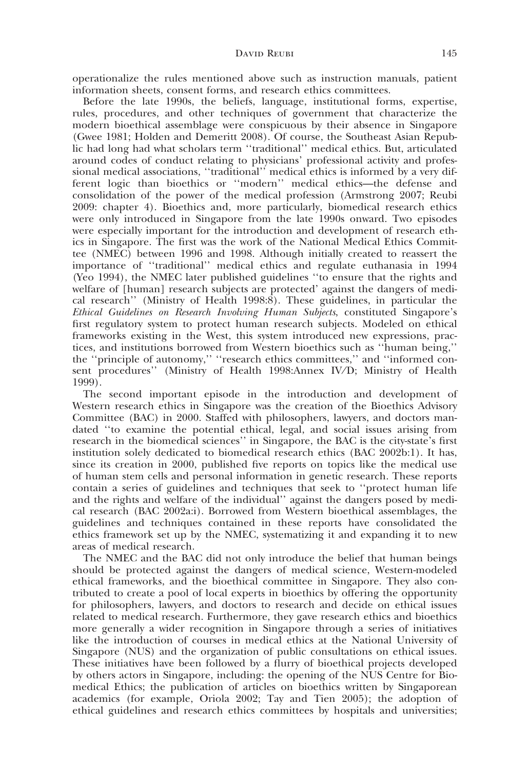operationalize the rules mentioned above such as instruction manuals, patient information sheets, consent forms, and research ethics committees.

Before the late 1990s, the beliefs, language, institutional forms, expertise, rules, procedures, and other techniques of government that characterize the modern bioethical assemblage were conspicuous by their absence in Singapore (Gwee 1981; Holden and Demeritt 2008). Of course, the Southeast Asian Republic had long had what scholars term ''traditional'' medical ethics. But, articulated around codes of conduct relating to physicians' professional activity and professional medical associations, ''traditional'' medical ethics is informed by a very different logic than bioethics or ''modern'' medical ethics—the defense and consolidation of the power of the medical profession (Armstrong 2007; Reubi 2009: chapter 4). Bioethics and, more particularly, biomedical research ethics were only introduced in Singapore from the late 1990s onward. Two episodes were especially important for the introduction and development of research ethics in Singapore. The first was the work of the National Medical Ethics Committee (NMEC) between 1996 and 1998. Although initially created to reassert the importance of ''traditional'' medical ethics and regulate euthanasia in 1994 (Yeo 1994), the NMEC later published guidelines ''to ensure that the rights and welfare of [human] research subjects are protected' against the dangers of medical research'' (Ministry of Health 1998:8). These guidelines, in particular the Ethical Guidelines on Research Involving Human Subjects, constituted Singapore's first regulatory system to protect human research subjects. Modeled on ethical frameworks existing in the West, this system introduced new expressions, practices, and institutions borrowed from Western bioethics such as ''human being,'' the ''principle of autonomy,'' ''research ethics committees,'' and ''informed consent procedures'' (Ministry of Health 1998:Annex IV⁄D; Ministry of Health 1999).

The second important episode in the introduction and development of Western research ethics in Singapore was the creation of the Bioethics Advisory Committee (BAC) in 2000. Staffed with philosophers, lawyers, and doctors mandated ''to examine the potential ethical, legal, and social issues arising from research in the biomedical sciences'' in Singapore, the BAC is the city-state's first institution solely dedicated to biomedical research ethics (BAC 2002b:1). It has, since its creation in 2000, published five reports on topics like the medical use of human stem cells and personal information in genetic research. These reports contain a series of guidelines and techniques that seek to ''protect human life and the rights and welfare of the individual'' against the dangers posed by medical research (BAC 2002a:i). Borrowed from Western bioethical assemblages, the guidelines and techniques contained in these reports have consolidated the ethics framework set up by the NMEC, systematizing it and expanding it to new areas of medical research.

The NMEC and the BAC did not only introduce the belief that human beings should be protected against the dangers of medical science, Western-modeled ethical frameworks, and the bioethical committee in Singapore. They also contributed to create a pool of local experts in bioethics by offering the opportunity for philosophers, lawyers, and doctors to research and decide on ethical issues related to medical research. Furthermore, they gave research ethics and bioethics more generally a wider recognition in Singapore through a series of initiatives like the introduction of courses in medical ethics at the National University of Singapore (NUS) and the organization of public consultations on ethical issues. These initiatives have been followed by a flurry of bioethical projects developed by others actors in Singapore, including: the opening of the NUS Centre for Biomedical Ethics; the publication of articles on bioethics written by Singaporean academics (for example, Oriola 2002; Tay and Tien 2005); the adoption of ethical guidelines and research ethics committees by hospitals and universities;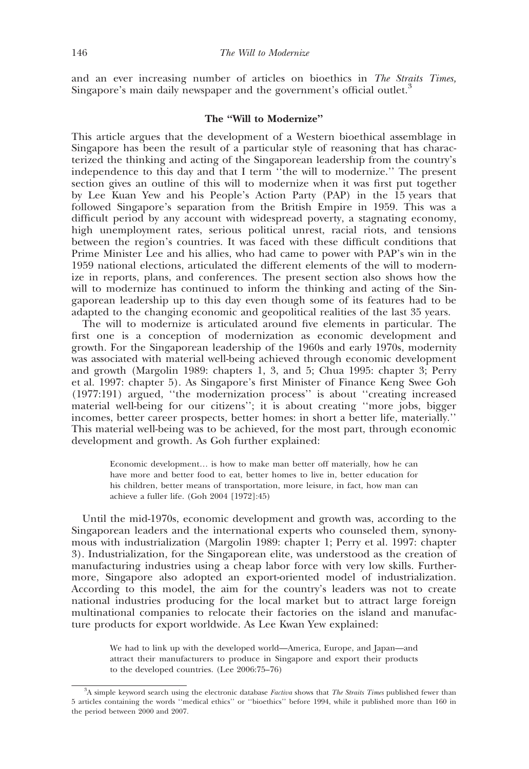and an ever increasing number of articles on bioethics in The Straits Times, Singapore's main daily newspaper and the government's official outlet.<sup>3</sup>

# The ''Will to Modernize''

This article argues that the development of a Western bioethical assemblage in Singapore has been the result of a particular style of reasoning that has characterized the thinking and acting of the Singaporean leadership from the country's independence to this day and that I term ''the will to modernize.'' The present section gives an outline of this will to modernize when it was first put together by Lee Kuan Yew and his People's Action Party (PAP) in the 15 years that followed Singapore's separation from the British Empire in 1959. This was a difficult period by any account with widespread poverty, a stagnating economy, high unemployment rates, serious political unrest, racial riots, and tensions between the region's countries. It was faced with these difficult conditions that Prime Minister Lee and his allies, who had came to power with PAP's win in the 1959 national elections, articulated the different elements of the will to modernize in reports, plans, and conferences. The present section also shows how the will to modernize has continued to inform the thinking and acting of the Singaporean leadership up to this day even though some of its features had to be adapted to the changing economic and geopolitical realities of the last 35 years.

The will to modernize is articulated around five elements in particular. The first one is a conception of modernization as economic development and growth. For the Singaporean leadership of the 1960s and early 1970s, modernity was associated with material well-being achieved through economic development and growth (Margolin 1989: chapters 1, 3, and 5; Chua 1995: chapter 3; Perry et al. 1997: chapter 5). As Singapore's first Minister of Finance Keng Swee Goh (1977:191) argued, ''the modernization process'' is about ''creating increased material well-being for our citizens''; it is about creating ''more jobs, bigger incomes, better career prospects, better homes: in short a better life, materially.'' This material well-being was to be achieved, for the most part, through economic development and growth. As Goh further explained:

Economic development… is how to make man better off materially, how he can have more and better food to eat, better homes to live in, better education for his children, better means of transportation, more leisure, in fact, how man can achieve a fuller life. (Goh 2004 [1972]:45)

Until the mid-1970s, economic development and growth was, according to the Singaporean leaders and the international experts who counseled them, synonymous with industrialization (Margolin 1989: chapter 1; Perry et al. 1997: chapter 3). Industrialization, for the Singaporean elite, was understood as the creation of manufacturing industries using a cheap labor force with very low skills. Furthermore, Singapore also adopted an export-oriented model of industrialization. According to this model, the aim for the country's leaders was not to create national industries producing for the local market but to attract large foreign multinational companies to relocate their factories on the island and manufacture products for export worldwide. As Lee Kwan Yew explained:

We had to link up with the developed world—America, Europe, and Japan—and attract their manufacturers to produce in Singapore and export their products to the developed countries. (Lee 2006:75–76)

<sup>&</sup>lt;sup>3</sup>A simple keyword search using the electronic database Factiva shows that The Straits Times published fewer than 5 articles containing the words ''medical ethics'' or ''bioethics'' before 1994, while it published more than 160 in the period between 2000 and 2007.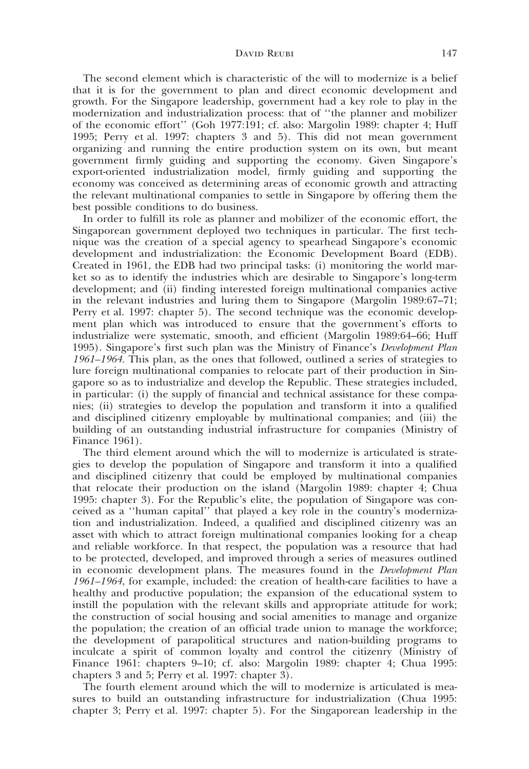## DAVID REUBI 147

The second element which is characteristic of the will to modernize is a belief that it is for the government to plan and direct economic development and growth. For the Singapore leadership, government had a key role to play in the modernization and industrialization process: that of ''the planner and mobilizer of the economic effort'' (Goh 1977:191; cf. also: Margolin 1989: chapter 4; Huff 1995; Perry et al. 1997: chapters 3 and 5). This did not mean government organizing and running the entire production system on its own, but meant government firmly guiding and supporting the economy. Given Singapore's export-oriented industrialization model, firmly guiding and supporting the economy was conceived as determining areas of economic growth and attracting the relevant multinational companies to settle in Singapore by offering them the best possible conditions to do business.

In order to fulfill its role as planner and mobilizer of the economic effort, the Singaporean government deployed two techniques in particular. The first technique was the creation of a special agency to spearhead Singapore's economic development and industrialization: the Economic Development Board (EDB). Created in 1961, the EDB had two principal tasks: (i) monitoring the world market so as to identify the industries which are desirable to Singapore's long-term development; and (ii) finding interested foreign multinational companies active in the relevant industries and luring them to Singapore (Margolin 1989:67–71; Perry et al. 1997: chapter 5). The second technique was the economic development plan which was introduced to ensure that the government's efforts to industrialize were systematic, smooth, and efficient (Margolin 1989:64–66; Huff 1995). Singapore's first such plan was the Ministry of Finance's Development Plan 1961–1964. This plan, as the ones that followed, outlined a series of strategies to lure foreign multinational companies to relocate part of their production in Singapore so as to industrialize and develop the Republic. These strategies included, in particular: (i) the supply of financial and technical assistance for these companies; (ii) strategies to develop the population and transform it into a qualified and disciplined citizenry employable by multinational companies; and (iii) the building of an outstanding industrial infrastructure for companies (Ministry of Finance 1961).

The third element around which the will to modernize is articulated is strategies to develop the population of Singapore and transform it into a qualified and disciplined citizenry that could be employed by multinational companies that relocate their production on the island (Margolin 1989: chapter 4; Chua 1995: chapter 3). For the Republic's elite, the population of Singapore was conceived as a ''human capital'' that played a key role in the country's modernization and industrialization. Indeed, a qualified and disciplined citizenry was an asset with which to attract foreign multinational companies looking for a cheap and reliable workforce. In that respect, the population was a resource that had to be protected, developed, and improved through a series of measures outlined in economic development plans. The measures found in the Development Plan 1961–1964, for example, included: the creation of health-care facilities to have a healthy and productive population; the expansion of the educational system to instill the population with the relevant skills and appropriate attitude for work; the construction of social housing and social amenities to manage and organize the population; the creation of an official trade union to manage the workforce; the development of parapolitical structures and nation-building programs to inculcate a spirit of common loyalty and control the citizenry (Ministry of Finance 1961: chapters 9–10; cf. also: Margolin 1989: chapter 4; Chua 1995: chapters 3 and 5; Perry et al. 1997: chapter 3).

The fourth element around which the will to modernize is articulated is measures to build an outstanding infrastructure for industrialization (Chua 1995: chapter 3; Perry et al. 1997: chapter 5). For the Singaporean leadership in the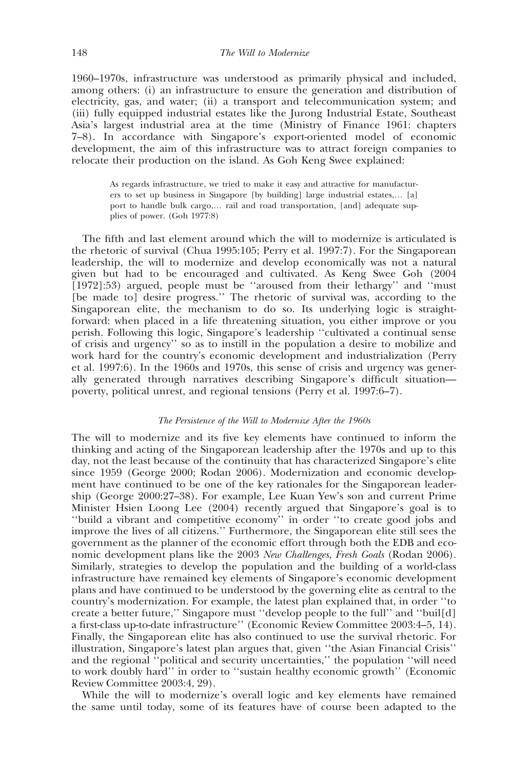1960–1970s, infrastructure was understood as primarily physical and included, among others: (i) an infrastructure to ensure the generation and distribution of electricity, gas, and water; (ii) a transport and telecommunication system; and (iii) fully equipped industrial estates like the Jurong Industrial Estate, Southeast Asia's largest industrial area at the time (Ministry of Finance 1961: chapters 7–8). In accordance with Singapore's export-oriented model of economic development, the aim of this infrastructure was to attract foreign companies to relocate their production on the island. As Goh Keng Swee explained:

As regards infrastructure, we tried to make it easy and attractive for manufacturers to set up business in Singapore [by building] large industrial estates,… [a] port to handle bulk cargo,… rail and road transportation, [and] adequate supplies of power. (Goh 1977:8)

The fifth and last element around which the will to modernize is articulated is the rhetoric of survival (Chua 1995:105; Perry et al. 1997:7). For the Singaporean leadership, the will to modernize and develop economically was not a natural given but had to be encouraged and cultivated. As Keng Swee Goh (2004 [1972]:53) argued, people must be ''aroused from their lethargy'' and ''must [be made to] desire progress.'' The rhetoric of survival was, according to the Singaporean elite, the mechanism to do so. Its underlying logic is straightforward: when placed in a life threatening situation, you either improve or you perish. Following this logic, Singapore's leadership ''cultivated a continual sense of crisis and urgency'' so as to instill in the population a desire to mobilize and work hard for the country's economic development and industrialization (Perry et al. 1997:6). In the 1960s and 1970s, this sense of crisis and urgency was generally generated through narratives describing Singapore's difficult situation poverty, political unrest, and regional tensions (Perry et al. 1997:6–7).

#### The Persistence of the Will to Modernize After the 1960s

The will to modernize and its five key elements have continued to inform the thinking and acting of the Singaporean leadership after the 1970s and up to this day, not the least because of the continuity that has characterized Singapore's elite since 1959 (George 2000; Rodan 2006). Modernization and economic development have continued to be one of the key rationales for the Singaporean leadership (George 2000:27–38). For example, Lee Kuan Yew's son and current Prime Minister Hsien Loong Lee (2004) recently argued that Singapore's goal is to ''build a vibrant and competitive economy'' in order ''to create good jobs and improve the lives of all citizens.'' Furthermore, the Singaporean elite still sees the government as the planner of the economic effort through both the EDB and economic development plans like the 2003 New Challenges, Fresh Goals (Rodan 2006). Similarly, strategies to develop the population and the building of a world-class infrastructure have remained key elements of Singapore's economic development plans and have continued to be understood by the governing elite as central to the country's modernization. For example, the latest plan explained that, in order ''to create a better future,'' Singapore must ''develop people to the full'' and ''buil[d] a first-class up-to-date infrastructure'' (Economic Review Committee 2003:4–5, 14). Finally, the Singaporean elite has also continued to use the survival rhetoric. For illustration, Singapore's latest plan argues that, given ''the Asian Financial Crisis'' and the regional ''political and security uncertainties,'' the population ''will need to work doubly hard'' in order to ''sustain healthy economic growth'' (Economic Review Committee 2003:4, 29).

While the will to modernize's overall logic and key elements have remained the same until today, some of its features have of course been adapted to the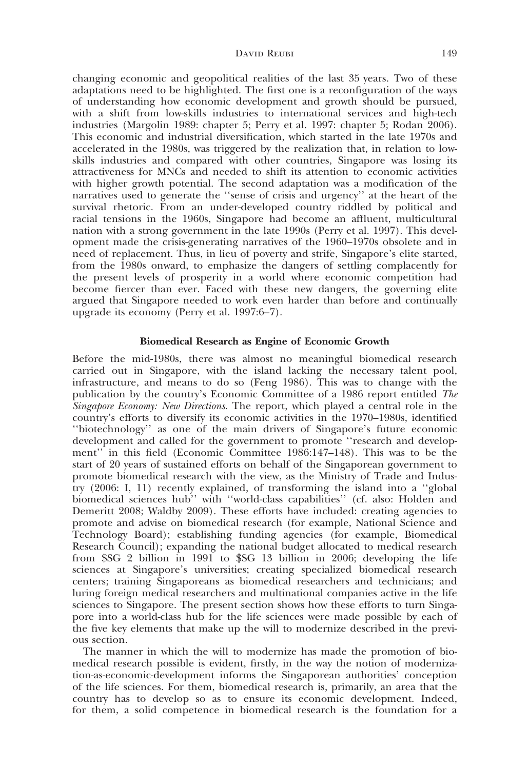changing economic and geopolitical realities of the last 35 years. Two of these adaptations need to be highlighted. The first one is a reconfiguration of the ways of understanding how economic development and growth should be pursued, with a shift from low-skills industries to international services and high-tech industries (Margolin 1989: chapter 5; Perry et al. 1997: chapter 5; Rodan 2006). This economic and industrial diversification, which started in the late 1970s and accelerated in the 1980s, was triggered by the realization that, in relation to lowskills industries and compared with other countries, Singapore was losing its attractiveness for MNCs and needed to shift its attention to economic activities with higher growth potential. The second adaptation was a modification of the narratives used to generate the ''sense of crisis and urgency'' at the heart of the survival rhetoric. From an under-developed country riddled by political and racial tensions in the 1960s, Singapore had become an affluent, multicultural nation with a strong government in the late 1990s (Perry et al. 1997). This development made the crisis-generating narratives of the 1960–1970s obsolete and in need of replacement. Thus, in lieu of poverty and strife, Singapore's elite started, from the 1980s onward, to emphasize the dangers of settling complacently for the present levels of prosperity in a world where economic competition had become fiercer than ever. Faced with these new dangers, the governing elite argued that Singapore needed to work even harder than before and continually upgrade its economy (Perry et al. 1997:6–7).

## Biomedical Research as Engine of Economic Growth

Before the mid-1980s, there was almost no meaningful biomedical research carried out in Singapore, with the island lacking the necessary talent pool, infrastructure, and means to do so (Feng 1986). This was to change with the publication by the country's Economic Committee of a 1986 report entitled The Singapore Economy: New Directions. The report, which played a central role in the country's efforts to diversify its economic activities in the 1970–1980s, identified ''biotechnology'' as one of the main drivers of Singapore's future economic development and called for the government to promote ''research and development'' in this field (Economic Committee 1986:147–148). This was to be the start of 20 years of sustained efforts on behalf of the Singaporean government to promote biomedical research with the view, as the Ministry of Trade and Industry (2006: I, 11) recently explained, of transforming the island into a ''global biomedical sciences hub'' with ''world-class capabilities'' (cf. also: Holden and Demeritt 2008; Waldby 2009). These efforts have included: creating agencies to promote and advise on biomedical research (for example, National Science and Technology Board); establishing funding agencies (for example, Biomedical Research Council); expanding the national budget allocated to medical research from \$SG 2 billion in 1991 to \$SG 13 billion in 2006; developing the life sciences at Singapore's universities; creating specialized biomedical research centers; training Singaporeans as biomedical researchers and technicians; and luring foreign medical researchers and multinational companies active in the life sciences to Singapore. The present section shows how these efforts to turn Singapore into a world-class hub for the life sciences were made possible by each of the five key elements that make up the will to modernize described in the previous section.

The manner in which the will to modernize has made the promotion of biomedical research possible is evident, firstly, in the way the notion of modernization-as-economic-development informs the Singaporean authorities' conception of the life sciences. For them, biomedical research is, primarily, an area that the country has to develop so as to ensure its economic development. Indeed, for them, a solid competence in biomedical research is the foundation for a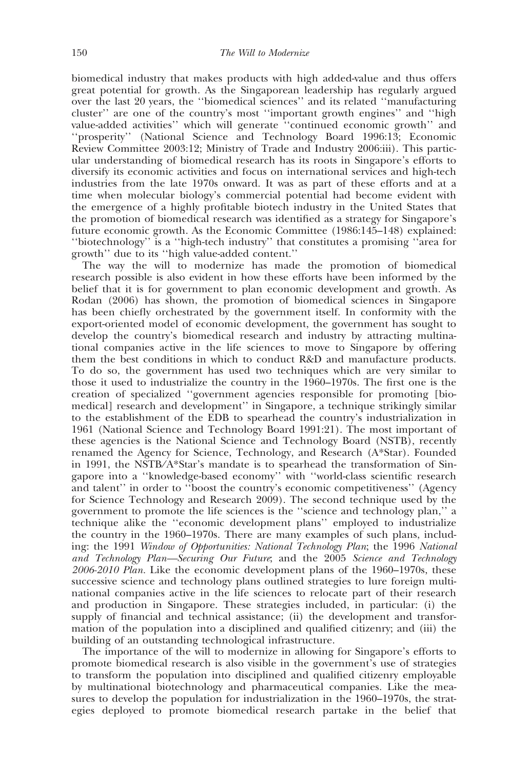biomedical industry that makes products with high added-value and thus offers great potential for growth. As the Singaporean leadership has regularly argued over the last 20 years, the ''biomedical sciences'' and its related ''manufacturing cluster'' are one of the country's most ''important growth engines'' and ''high value-added activities'' which will generate ''continued economic growth'' and ''prosperity'' (National Science and Technology Board 1996:13; Economic Review Committee 2003:12; Ministry of Trade and Industry 2006:iii). This particular understanding of biomedical research has its roots in Singapore's efforts to diversify its economic activities and focus on international services and high-tech industries from the late 1970s onward. It was as part of these efforts and at a time when molecular biology's commercial potential had become evident with the emergence of a highly profitable biotech industry in the United States that the promotion of biomedical research was identified as a strategy for Singapore's future economic growth. As the Economic Committee (1986:145–148) explained: ''biotechnology'' is a ''high-tech industry'' that constitutes a promising ''area for growth'' due to its ''high value-added content.''

The way the will to modernize has made the promotion of biomedical research possible is also evident in how these efforts have been informed by the belief that it is for government to plan economic development and growth. As Rodan (2006) has shown, the promotion of biomedical sciences in Singapore has been chiefly orchestrated by the government itself. In conformity with the export-oriented model of economic development, the government has sought to develop the country's biomedical research and industry by attracting multinational companies active in the life sciences to move to Singapore by offering them the best conditions in which to conduct R&D and manufacture products. To do so, the government has used two techniques which are very similar to those it used to industrialize the country in the 1960–1970s. The first one is the creation of specialized ''government agencies responsible for promoting [biomedical] research and development'' in Singapore, a technique strikingly similar to the establishment of the EDB to spearhead the country's industrialization in 1961 (National Science and Technology Board 1991:21). The most important of these agencies is the National Science and Technology Board (NSTB), recently renamed the Agency for Science, Technology, and Research (A\*Star). Founded in 1991, the NSTB⁄A\*Star's mandate is to spearhead the transformation of Singapore into a ''knowledge-based economy'' with ''world-class scientific research and talent'' in order to ''boost the country's economic competitiveness'' (Agency for Science Technology and Research 2009). The second technique used by the government to promote the life sciences is the ''science and technology plan,'' a technique alike the ''economic development plans'' employed to industrialize the country in the 1960–1970s. There are many examples of such plans, including: the 1991 Window of Opportunities: National Technology Plan; the 1996 National and Technology Plan—Securing Our Future; and the 2005 Science and Technology 2006-2010 Plan. Like the economic development plans of the 1960–1970s, these successive science and technology plans outlined strategies to lure foreign multinational companies active in the life sciences to relocate part of their research and production in Singapore. These strategies included, in particular: (i) the supply of financial and technical assistance; (ii) the development and transformation of the population into a disciplined and qualified citizenry; and (iii) the building of an outstanding technological infrastructure.

The importance of the will to modernize in allowing for Singapore's efforts to promote biomedical research is also visible in the government's use of strategies to transform the population into disciplined and qualified citizenry employable by multinational biotechnology and pharmaceutical companies. Like the measures to develop the population for industrialization in the 1960–1970s, the strategies deployed to promote biomedical research partake in the belief that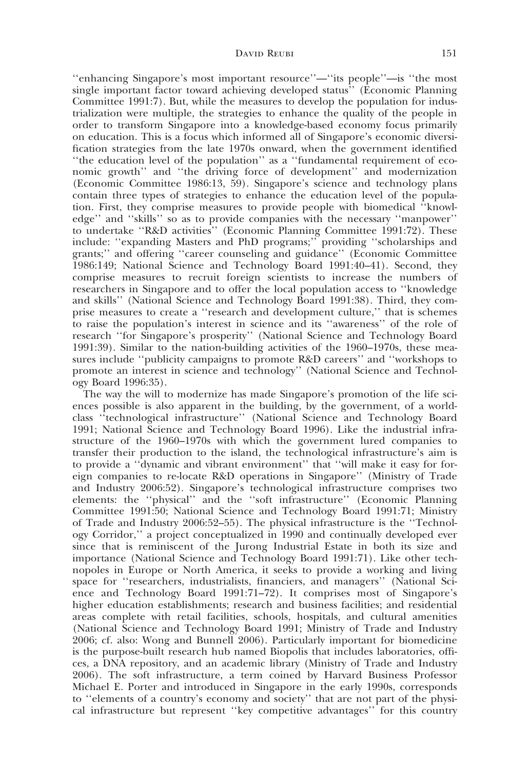''enhancing Singapore's most important resource''—''its people''—is ''the most single important factor toward achieving developed status'' (Economic Planning Committee 1991:7). But, while the measures to develop the population for industrialization were multiple, the strategies to enhance the quality of the people in order to transform Singapore into a knowledge-based economy focus primarily on education. This is a focus which informed all of Singapore's economic diversification strategies from the late 1970s onward, when the government identified ''the education level of the population'' as a ''fundamental requirement of economic growth'' and ''the driving force of development'' and modernization (Economic Committee 1986:13, 59). Singapore's science and technology plans contain three types of strategies to enhance the education level of the population. First, they comprise measures to provide people with biomedical ''knowledge'' and ''skills'' so as to provide companies with the necessary ''manpower'' to undertake ''R&D activities'' (Economic Planning Committee 1991:72). These include: ''expanding Masters and PhD programs;'' providing ''scholarships and grants;'' and offering ''career counseling and guidance'' (Economic Committee 1986:149; National Science and Technology Board 1991:40–41). Second, they comprise measures to recruit foreign scientists to increase the numbers of researchers in Singapore and to offer the local population access to ''knowledge and skills'' (National Science and Technology Board 1991:38). Third, they comprise measures to create a ''research and development culture,'' that is schemes to raise the population's interest in science and its ''awareness'' of the role of research ''for Singapore's prosperity'' (National Science and Technology Board 1991:39). Similar to the nation-building activities of the 1960–1970s, these measures include ''publicity campaigns to promote R&D careers'' and ''workshops to promote an interest in science and technology'' (National Science and Technology Board 1996:35).

The way the will to modernize has made Singapore's promotion of the life sciences possible is also apparent in the building, by the government, of a worldclass ''technological infrastructure'' (National Science and Technology Board 1991; National Science and Technology Board 1996). Like the industrial infrastructure of the 1960–1970s with which the government lured companies to transfer their production to the island, the technological infrastructure's aim is to provide a ''dynamic and vibrant environment'' that ''will make it easy for foreign companies to re-locate R&D operations in Singapore'' (Ministry of Trade and Industry 2006:52). Singapore's technological infrastructure comprises two elements: the ''physical'' and the ''soft infrastructure'' (Economic Planning Committee 1991:50; National Science and Technology Board 1991:71; Ministry of Trade and Industry 2006:52–55). The physical infrastructure is the ''Technology Corridor,'' a project conceptualized in 1990 and continually developed ever since that is reminiscent of the Jurong Industrial Estate in both its size and importance (National Science and Technology Board 1991:71). Like other technopoles in Europe or North America, it seeks to provide a working and living space for ''researchers, industrialists, financiers, and managers'' (National Science and Technology Board 1991:71–72). It comprises most of Singapore's higher education establishments; research and business facilities; and residential areas complete with retail facilities, schools, hospitals, and cultural amenities (National Science and Technology Board 1991; Ministry of Trade and Industry 2006; cf. also: Wong and Bunnell 2006). Particularly important for biomedicine is the purpose-built research hub named Biopolis that includes laboratories, offices, a DNA repository, and an academic library (Ministry of Trade and Industry 2006). The soft infrastructure, a term coined by Harvard Business Professor Michael E. Porter and introduced in Singapore in the early 1990s, corresponds to ''elements of a country's economy and society'' that are not part of the physical infrastructure but represent ''key competitive advantages'' for this country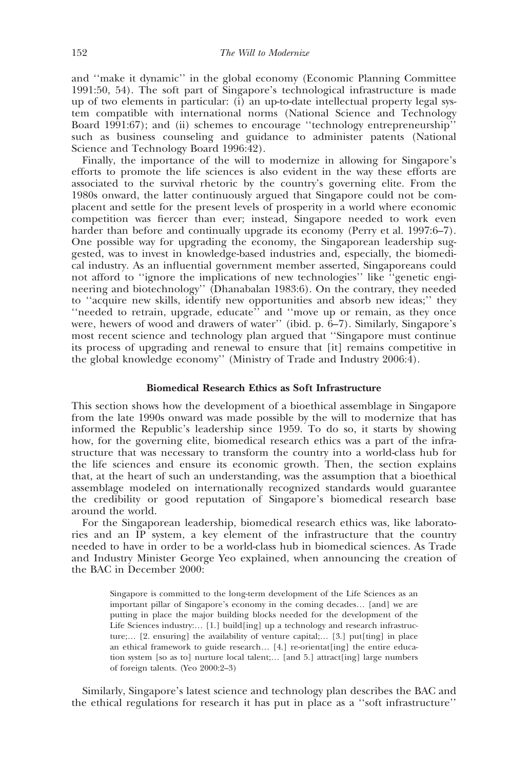and ''make it dynamic'' in the global economy (Economic Planning Committee 1991:50, 54). The soft part of Singapore's technological infrastructure is made up of two elements in particular: (i) an up-to-date intellectual property legal system compatible with international norms (National Science and Technology Board 1991:67); and (ii) schemes to encourage ''technology entrepreneurship'' such as business counseling and guidance to administer patents (National Science and Technology Board 1996:42).

Finally, the importance of the will to modernize in allowing for Singapore's efforts to promote the life sciences is also evident in the way these efforts are associated to the survival rhetoric by the country's governing elite. From the 1980s onward, the latter continuously argued that Singapore could not be complacent and settle for the present levels of prosperity in a world where economic competition was fiercer than ever; instead, Singapore needed to work even harder than before and continually upgrade its economy (Perry et al. 1997:6–7). One possible way for upgrading the economy, the Singaporean leadership suggested, was to invest in knowledge-based industries and, especially, the biomedical industry. As an influential government member asserted, Singaporeans could not afford to ''ignore the implications of new technologies'' like ''genetic engineering and biotechnology'' (Dhanabalan 1983:6). On the contrary, they needed to ''acquire new skills, identify new opportunities and absorb new ideas;'' they "needed to retrain, upgrade, educate" and "move up or remain, as they once were, hewers of wood and drawers of water'' (ibid. p. 6–7). Similarly, Singapore's most recent science and technology plan argued that ''Singapore must continue its process of upgrading and renewal to ensure that [it] remains competitive in the global knowledge economy'' (Ministry of Trade and Industry 2006:4).

## Biomedical Research Ethics as Soft Infrastructure

This section shows how the development of a bioethical assemblage in Singapore from the late 1990s onward was made possible by the will to modernize that has informed the Republic's leadership since 1959. To do so, it starts by showing how, for the governing elite, biomedical research ethics was a part of the infrastructure that was necessary to transform the country into a world-class hub for the life sciences and ensure its economic growth. Then, the section explains that, at the heart of such an understanding, was the assumption that a bioethical assemblage modeled on internationally recognized standards would guarantee the credibility or good reputation of Singapore's biomedical research base around the world.

For the Singaporean leadership, biomedical research ethics was, like laboratories and an IP system, a key element of the infrastructure that the country needed to have in order to be a world-class hub in biomedical sciences. As Trade and Industry Minister George Yeo explained, when announcing the creation of the BAC in December 2000:

Singapore is committed to the long-term development of the Life Sciences as an important pillar of Singapore's economy in the coming decades… [and] we are putting in place the major building blocks needed for the development of the Life Sciences industry.... [1.] build[ing] up a technology and research infrastructure;… [2. ensuring] the availability of venture capital;… [3.] put[ting] in place an ethical framework to guide research… [4.] re-orientat[ing] the entire education system [so as to] nurture local talent;… [and 5.] attract[ing] large numbers of foreign talents. (Yeo 2000:2–3)

Similarly, Singapore's latest science and technology plan describes the BAC and the ethical regulations for research it has put in place as a ''soft infrastructure''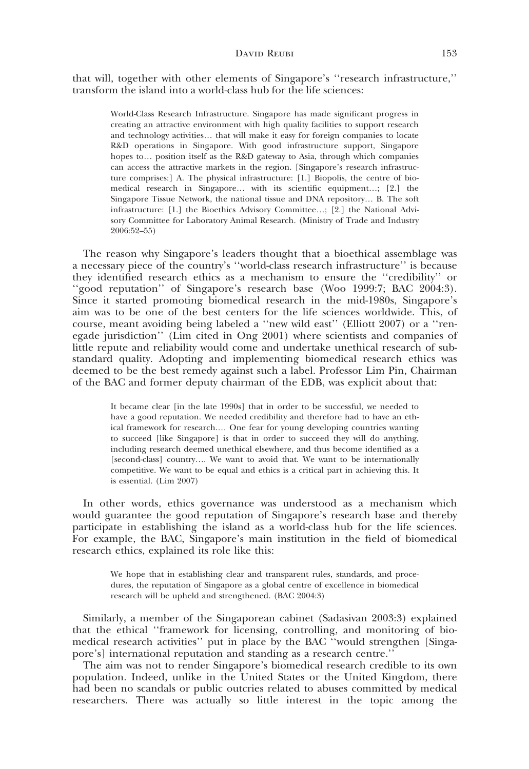## DAVID REUBI 153

that will, together with other elements of Singapore's ''research infrastructure,'' transform the island into a world-class hub for the life sciences:

World-Class Research Infrastructure. Singapore has made significant progress in creating an attractive environment with high quality facilities to support research and technology activities… that will make it easy for foreign companies to locate R&D operations in Singapore. With good infrastructure support, Singapore hopes to… position itself as the R&D gateway to Asia, through which companies can access the attractive markets in the region. [Singapore's research infrastructure comprises:] A. The physical infrastructure: [1.] Biopolis, the centre of biomedical research in Singapore… with its scientific equipment…; [2.] the Singapore Tissue Network, the national tissue and DNA repository… B. The soft infrastructure: [1.] the Bioethics Advisory Committee…; [2.] the National Advisory Committee for Laboratory Animal Research. (Ministry of Trade and Industry 2006:52–55)

The reason why Singapore's leaders thought that a bioethical assemblage was a necessary piece of the country's ''world-class research infrastructure'' is because they identified research ethics as a mechanism to ensure the ''credibility'' or ''good reputation'' of Singapore's research base (Woo 1999:7; BAC 2004:3). Since it started promoting biomedical research in the mid-1980s, Singapore's aim was to be one of the best centers for the life sciences worldwide. This, of course, meant avoiding being labeled a ''new wild east'' (Elliott 2007) or a ''renegade jurisdiction'' (Lim cited in Ong 2001) where scientists and companies of little repute and reliability would come and undertake unethical research of substandard quality. Adopting and implementing biomedical research ethics was deemed to be the best remedy against such a label. Professor Lim Pin, Chairman of the BAC and former deputy chairman of the EDB, was explicit about that:

It became clear [in the late 1990s] that in order to be successful, we needed to have a good reputation. We needed credibility and therefore had to have an ethical framework for research.… One fear for young developing countries wanting to succeed [like Singapore] is that in order to succeed they will do anything, including research deemed unethical elsewhere, and thus become identified as a [second-class] country.... We want to avoid that. We want to be internationally competitive. We want to be equal and ethics is a critical part in achieving this. It is essential. (Lim 2007)

In other words, ethics governance was understood as a mechanism which would guarantee the good reputation of Singapore's research base and thereby participate in establishing the island as a world-class hub for the life sciences. For example, the BAC, Singapore's main institution in the field of biomedical research ethics, explained its role like this:

We hope that in establishing clear and transparent rules, standards, and procedures, the reputation of Singapore as a global centre of excellence in biomedical research will be upheld and strengthened. (BAC 2004:3)

Similarly, a member of the Singaporean cabinet (Sadasivan 2003:3) explained that the ethical ''framework for licensing, controlling, and monitoring of biomedical research activities'' put in place by the BAC ''would strengthen [Singapore's] international reputation and standing as a research centre.''

The aim was not to render Singapore's biomedical research credible to its own population. Indeed, unlike in the United States or the United Kingdom, there had been no scandals or public outcries related to abuses committed by medical researchers. There was actually so little interest in the topic among the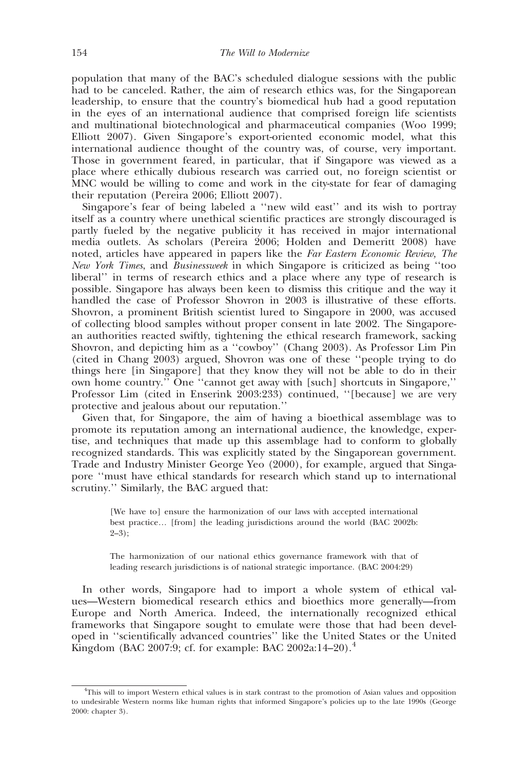population that many of the BAC's scheduled dialogue sessions with the public had to be canceled. Rather, the aim of research ethics was, for the Singaporean leadership, to ensure that the country's biomedical hub had a good reputation in the eyes of an international audience that comprised foreign life scientists and multinational biotechnological and pharmaceutical companies (Woo 1999; Elliott 2007). Given Singapore's export-oriented economic model, what this international audience thought of the country was, of course, very important. Those in government feared, in particular, that if Singapore was viewed as a place where ethically dubious research was carried out, no foreign scientist or MNC would be willing to come and work in the city-state for fear of damaging their reputation (Pereira 2006; Elliott 2007).

Singapore's fear of being labeled a ''new wild east'' and its wish to portray itself as a country where unethical scientific practices are strongly discouraged is partly fueled by the negative publicity it has received in major international media outlets. As scholars (Pereira 2006; Holden and Demeritt 2008) have noted, articles have appeared in papers like the Far Eastern Economic Review, The New York Times, and Businessweek in which Singapore is criticized as being ''too liberal'' in terms of research ethics and a place where any type of research is possible. Singapore has always been keen to dismiss this critique and the way it handled the case of Professor Shovron in 2003 is illustrative of these efforts. Shovron, a prominent British scientist lured to Singapore in 2000, was accused of collecting blood samples without proper consent in late 2002. The Singaporean authorities reacted swiftly, tightening the ethical research framework, sacking Shovron, and depicting him as a ''cowboy'' (Chang 2003). As Professor Lim Pin (cited in Chang 2003) argued, Shovron was one of these ''people trying to do things here [in Singapore] that they know they will not be able to do in their own home country.'' One ''cannot get away with [such] shortcuts in Singapore,'' Professor Lim (cited in Enserink 2003:233) continued, ''[because] we are very protective and jealous about our reputation.''

Given that, for Singapore, the aim of having a bioethical assemblage was to promote its reputation among an international audience, the knowledge, expertise, and techniques that made up this assemblage had to conform to globally recognized standards. This was explicitly stated by the Singaporean government. Trade and Industry Minister George Yeo (2000), for example, argued that Singapore ''must have ethical standards for research which stand up to international scrutiny.'' Similarly, the BAC argued that:

[We have to] ensure the harmonization of our laws with accepted international best practice… [from] the leading jurisdictions around the world (BAC 2002b:  $2-3$ ;

The harmonization of our national ethics governance framework with that of leading research jurisdictions is of national strategic importance. (BAC 2004:29)

In other words, Singapore had to import a whole system of ethical values—Western biomedical research ethics and bioethics more generally—from Europe and North America. Indeed, the internationally recognized ethical frameworks that Singapore sought to emulate were those that had been developed in ''scientifically advanced countries'' like the United States or the United Kingdom (BAC 2007:9; cf. for example: BAC 2002a:14-20).<sup>4</sup>

<sup>4</sup> This will to import Western ethical values is in stark contrast to the promotion of Asian values and opposition to undesirable Western norms like human rights that informed Singapore's policies up to the late 1990s (George 2000: chapter 3).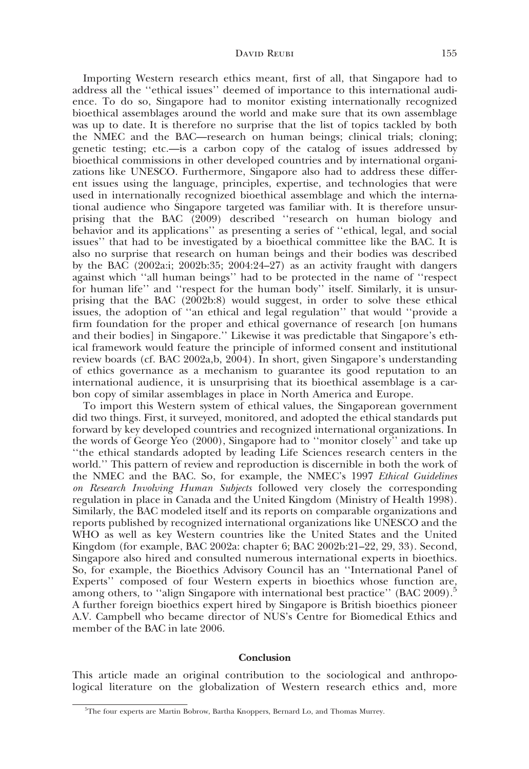Importing Western research ethics meant, first of all, that Singapore had to address all the ''ethical issues'' deemed of importance to this international audience. To do so, Singapore had to monitor existing internationally recognized bioethical assemblages around the world and make sure that its own assemblage was up to date. It is therefore no surprise that the list of topics tackled by both the NMEC and the BAC—research on human beings; clinical trials; cloning; genetic testing; etc.—is a carbon copy of the catalog of issues addressed by bioethical commissions in other developed countries and by international organizations like UNESCO. Furthermore, Singapore also had to address these different issues using the language, principles, expertise, and technologies that were used in internationally recognized bioethical assemblage and which the international audience who Singapore targeted was familiar with. It is therefore unsurprising that the BAC (2009) described ''research on human biology and behavior and its applications'' as presenting a series of ''ethical, legal, and social issues'' that had to be investigated by a bioethical committee like the BAC. It is also no surprise that research on human beings and their bodies was described by the BAC (2002a:i; 2002b:35; 2004:24-27) as an activity fraught with dangers against which ''all human beings'' had to be protected in the name of ''respect for human life'' and ''respect for the human body'' itself. Similarly, it is unsurprising that the BAC (2002b:8) would suggest, in order to solve these ethical issues, the adoption of ''an ethical and legal regulation'' that would ''provide a firm foundation for the proper and ethical governance of research [on humans and their bodies] in Singapore.'' Likewise it was predictable that Singapore's ethical framework would feature the principle of informed consent and institutional review boards (cf. BAC 2002a,b, 2004). In short, given Singapore's understanding of ethics governance as a mechanism to guarantee its good reputation to an international audience, it is unsurprising that its bioethical assemblage is a carbon copy of similar assemblages in place in North America and Europe.

To import this Western system of ethical values, the Singaporean government did two things. First, it surveyed, monitored, and adopted the ethical standards put forward by key developed countries and recognized international organizations. In the words of George Yeo (2000), Singapore had to ''monitor closely'' and take up ''the ethical standards adopted by leading Life Sciences research centers in the world.'' This pattern of review and reproduction is discernible in both the work of the NMEC and the BAC. So, for example, the NMEC's 1997 Ethical Guidelines on Research Involving Human Subjects followed very closely the corresponding regulation in place in Canada and the United Kingdom (Ministry of Health 1998). Similarly, the BAC modeled itself and its reports on comparable organizations and reports published by recognized international organizations like UNESCO and the WHO as well as key Western countries like the United States and the United Kingdom (for example, BAC 2002a: chapter 6; BAC 2002b:21–22, 29, 33). Second, Singapore also hired and consulted numerous international experts in bioethics. So, for example, the Bioethics Advisory Council has an ''International Panel of Experts'' composed of four Western experts in bioethics whose function are, among others, to "align Singapore with international best practice" (BAC 2009).<sup>5</sup> A further foreign bioethics expert hired by Singapore is British bioethics pioneer A.V. Campbell who became director of NUS's Centre for Biomedical Ethics and member of the BAC in late 2006.

## Conclusion

This article made an original contribution to the sociological and anthropological literature on the globalization of Western research ethics and, more

<sup>5</sup> The four experts are Martin Bobrow, Bartha Knoppers, Bernard Lo, and Thomas Murrey.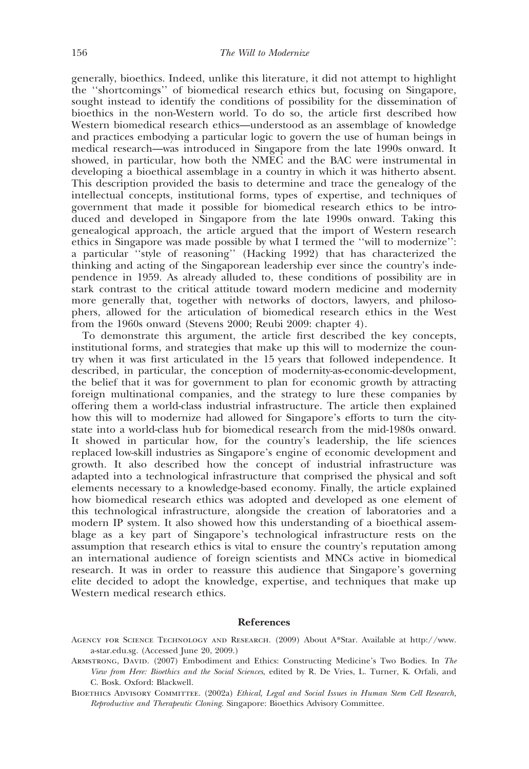generally, bioethics. Indeed, unlike this literature, it did not attempt to highlight the ''shortcomings'' of biomedical research ethics but, focusing on Singapore, sought instead to identify the conditions of possibility for the dissemination of bioethics in the non-Western world. To do so, the article first described how Western biomedical research ethics—understood as an assemblage of knowledge and practices embodying a particular logic to govern the use of human beings in medical research—was introduced in Singapore from the late 1990s onward. It showed, in particular, how both the NMEC and the BAC were instrumental in developing a bioethical assemblage in a country in which it was hitherto absent. This description provided the basis to determine and trace the genealogy of the intellectual concepts, institutional forms, types of expertise, and techniques of government that made it possible for biomedical research ethics to be introduced and developed in Singapore from the late 1990s onward. Taking this genealogical approach, the article argued that the import of Western research ethics in Singapore was made possible by what I termed the ''will to modernize'': a particular ''style of reasoning'' (Hacking 1992) that has characterized the thinking and acting of the Singaporean leadership ever since the country's independence in 1959. As already alluded to, these conditions of possibility are in stark contrast to the critical attitude toward modern medicine and modernity more generally that, together with networks of doctors, lawyers, and philosophers, allowed for the articulation of biomedical research ethics in the West from the 1960s onward (Stevens 2000; Reubi 2009: chapter 4).

To demonstrate this argument, the article first described the key concepts, institutional forms, and strategies that make up this will to modernize the country when it was first articulated in the 15 years that followed independence. It described, in particular, the conception of modernity-as-economic-development, the belief that it was for government to plan for economic growth by attracting foreign multinational companies, and the strategy to lure these companies by offering them a world-class industrial infrastructure. The article then explained how this will to modernize had allowed for Singapore's efforts to turn the citystate into a world-class hub for biomedical research from the mid-1980s onward. It showed in particular how, for the country's leadership, the life sciences replaced low-skill industries as Singapore's engine of economic development and growth. It also described how the concept of industrial infrastructure was adapted into a technological infrastructure that comprised the physical and soft elements necessary to a knowledge-based economy. Finally, the article explained how biomedical research ethics was adopted and developed as one element of this technological infrastructure, alongside the creation of laboratories and a modern IP system. It also showed how this understanding of a bioethical assemblage as a key part of Singapore's technological infrastructure rests on the assumption that research ethics is vital to ensure the country's reputation among an international audience of foreign scientists and MNCs active in biomedical research. It was in order to reassure this audience that Singapore's governing elite decided to adopt the knowledge, expertise, and techniques that make up Western medical research ethics.

#### References

- Agency for Science Technology and Research. (2009) About A\*Star. Available at http://www. a-star.edu.sg. (Accessed June 20, 2009.)
- ARMSTRONG, DAVID. (2007) Embodiment and Ethics: Constructing Medicine's Two Bodies. In The View from Here: Bioethics and the Social Sciences, edited by R. De Vries, L. Turner, K. Orfali, and C. Bosk. Oxford: Blackwell.
- BIOETHICS ADVISORY COMMITTEE. (2002a) Ethical, Legal and Social Issues in Human Stem Cell Research, Reproductive and Therapeutic Cloning. Singapore: Bioethics Advisory Committee.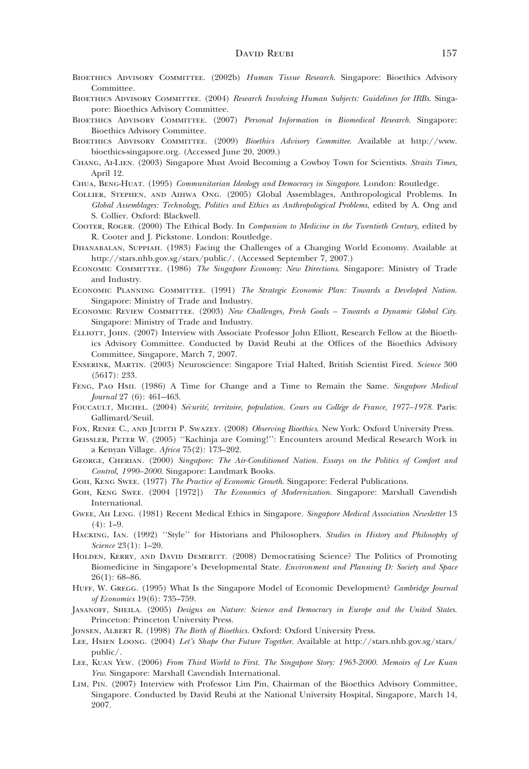- BIOETHICS ADVISORY COMMITTEE. (2002b) Human Tissue Research. Singapore: Bioethics Advisory Committee.
- BIOETHICS ADVISORY COMMITTEE. (2004) Research Involving Human Subjects: Guidelines for IRBs. Singapore: Bioethics Advisory Committee.
- BIOETHICS ADVISORY COMMITTEE. (2007) Personal Information in Biomedical Research. Singapore: Bioethics Advisory Committee.
- Bioethics Advisory Committee. (2009) Bioethics Advisory Committee. Available at http://www. bioethics-singapore.org. (Accessed June 20, 2009.)
- Chang, Ai-Lien. (2003) Singapore Must Avoid Becoming a Cowboy Town for Scientists. Straits Times, April 12.
- Chua, Beng-Huat. (1995) Communitarian Ideology and Democracy in Singapore. London: Routledge.
- Collier, Stephen, and Aihwa Ong. (2005) Global Assemblages, Anthropological Problems. In Global Assemblages: Technology, Politics and Ethics as Anthropological Problems, edited by A. Ong and S. Collier. Oxford: Blackwell.
- Cooter, Roger. (2000) The Ethical Body. In Companion to Medicine in the Twentieth Century, edited by R. Cooter and J. Pickstone. London: Routledge.
- Dhanabalan, Suppiah. (1983) Facing the Challenges of a Changing World Economy. Available at http://stars.nhb.gov.sg/stars/public/. (Accessed September 7, 2007.)
- Economic Committee. (1986) The Singapore Economy: New Directions. Singapore: Ministry of Trade and Industry.
- ECONOMIC PLANNING COMMITTEE. (1991) The Strategic Economic Plan: Towards a Developed Nation. Singapore: Ministry of Trade and Industry.
- ECONOMIC REVIEW COMMITTEE. (2003) New Challenges, Fresh Goals Towards a Dynamic Global City. Singapore: Ministry of Trade and Industry.
- Elliott, John. (2007) Interview with Associate Professor John Elliott, Research Fellow at the Bioethics Advisory Committee. Conducted by David Reubi at the Offices of the Bioethics Advisory Committee, Singapore, March 7, 2007.
- Enserink, Martin. (2003) Neuroscience: Singapore Trial Halted, British Scientist Fired. Science 300 (5617): 233.
- FENG, PAO HSII. (1986) A Time for Change and a Time to Remain the Same. Singapore Medical Journal 27 (6): 461–463.
- FOUCAULT, MICHEL. (2004) Sécurité, territoire, population. Cours au Collège de France, 1977–1978. Paris: Gallimard ⁄ Seuil.
- FOX, RENEE C., AND JUDITH P. SWAZEY. (2008) Observing Bioethics. New York: Oxford University Press.
- Geissler, Peter W. (2005) ''Kachinja are Coming!'': Encounters around Medical Research Work in a Kenyan Village. Africa 75(2): 173–202.
- George, Cherian. (2000) Singapore: The Air-Conditioned Nation. Essays on the Politics of Comfort and Control, 1990–2000. Singapore: Landmark Books.
- GOH, KENG SWEE. (1977) The Practice of Economic Growth. Singapore: Federal Publications.
- GOH, KENG SWEE. (2004 [1972]) The Economics of Modernization. Singapore: Marshall Cavendish International.
- GWEE, AH LENG. (1981) Recent Medical Ethics in Singapore. Singapore Medical Association Newsletter 13  $(4): 1-9.$
- HACKING, IAN. (1992) "Style" for Historians and Philosophers. Studies in History and Philosophy of Science 23(1): 1–20.
- HOLDEN, KERRY, AND DAVID DEMERITT. (2008) Democratising Science? The Politics of Promoting Biomedicine in Singapore's Developmental State. Environment and Planning D: Society and Space 26(1): 68–86.
- HUFF, W. GREGG. (1995) What Is the Singapore Model of Economic Development? Cambridge Journal of Economics 19(6): 735–759.
- JASANOFF, SHEILA. (2005) Designs on Nature: Science and Democracy in Europe and the United States. Princeton: Princeton University Press.
- JONSEN, ALBERT R. (1998) The Birth of Bioethics. Oxford: Oxford University Press.
- LEE, HSIEN LOONG. (2004) Let's Shape Our Future Together. Available at http://stars.nhb.gov.sg/stars/ public/.
- Lee, Kuan Yew. (2006) From Third World to First. The Singapore Story: 1965-2000. Memoirs of Lee Kuan Yew. Singapore: Marshall Cavendish International.
- Lim, Pin. (2007) Interview with Professor Lim Pin, Chairman of the Bioethics Advisory Committee, Singapore. Conducted by David Reubi at the National University Hospital, Singapore, March 14, 2007.